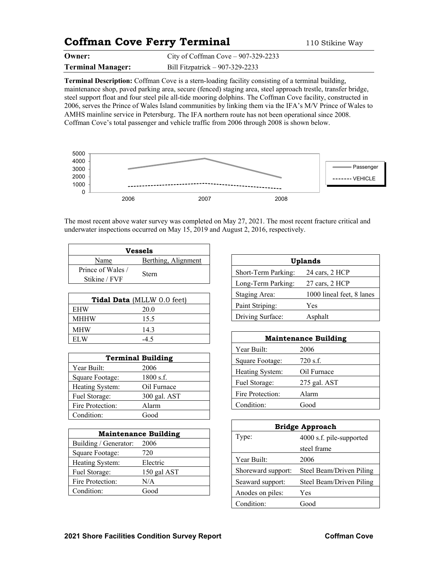## **Coffman Cove Ferry Terminal** 110 Stikine Way

| Owner:                   | City of Coffman Cove $-907-329-2233$ |
|--------------------------|--------------------------------------|
| <b>Terminal Manager:</b> | Bill Fitzpatrick $-907-329-2233$     |

**Terminal Description:** Coffman Cove is a stern-loading facility consisting of a terminal building, maintenance shop, paved parking area, secure (fenced) staging area, steel approach trestle, transfer bridge, steel support float and four steel pile all-tide mooring dolphins. The Coffman Cove facility, constructed in 2006, serves the Prince of Wales Island communities by linking them via the IFA's M/V Prince of Wales to AMHS mainline service in Petersburg. The IFA northern route has not been operational since 2008. Coffman Cove's total passenger and vehicle traffic from 2006 through 2008 is shown below.



The most recent above water survey was completed on May 27, 2021. The most recent fracture critical and underwater inspections occurred on May 15, 2019 and August 2, 2016, respectively.

| Vessels                            |                     |  |
|------------------------------------|---------------------|--|
| Name                               | Berthing, Alignment |  |
| Prince of Wales /<br>Stikine / FVF | Stern               |  |

| <b>Tidal Data</b> (MLLW 0.0 feet) |       |  |
|-----------------------------------|-------|--|
| <b>EHW</b>                        | 20.0  |  |
| <b>MHHW</b>                       | 15.5  |  |
| <b>MHW</b>                        | 14.3  |  |
| EL W                              | $-45$ |  |

| <b>Terminal Building</b> |              |  |
|--------------------------|--------------|--|
| Year Built:              | 2006         |  |
| Square Footage:          | $1800$ s.f.  |  |
| Heating System:          | Oil Furnace  |  |
| Fuel Storage:            | 300 gal. AST |  |
| Fire Protection:         | Alarm        |  |
| Condition:               | Good         |  |

| <b>Maintenance Building</b> |             |  |
|-----------------------------|-------------|--|
| Building / Generator:       | 2006        |  |
| Square Footage:             | 720         |  |
| Heating System:             | Electric    |  |
| Fuel Storage:               | 150 gal AST |  |
| Fire Protection:            | N/A         |  |
| Condition:                  | Good        |  |

| <b>Uplands</b>      |                           |  |
|---------------------|---------------------------|--|
| Short-Term Parking: | 24 cars, 2 HCP            |  |
| Long-Term Parking:  | 27 cars, 2 HCP            |  |
| Staging Area:       | 1000 lineal feet, 8 lanes |  |
| Paint Striping:     | Yes                       |  |
| Driving Surface:    | Asphalt                   |  |

| <b>Maintenance Building</b> |              |  |
|-----------------------------|--------------|--|
| Year Built:                 | 2006         |  |
| Square Footage:             | $720$ s.f.   |  |
| Heating System:             | Oil Furnace  |  |
| Fuel Storage:               | 275 gal. AST |  |
| Fire Protection:            | Alarm        |  |
| Condition:                  | Good         |  |

| <b>Bridge Approach</b>            |                          |  |
|-----------------------------------|--------------------------|--|
| Type:<br>4000 s.f. pile-supported |                          |  |
|                                   | steel frame              |  |
| Year Built:                       | 2006                     |  |
| Shoreward support:                | Steel Beam/Driven Piling |  |
| Seaward support:                  | Steel Beam/Driven Piling |  |
| Anodes on piles:                  | Yes                      |  |
| Condition:                        | Good                     |  |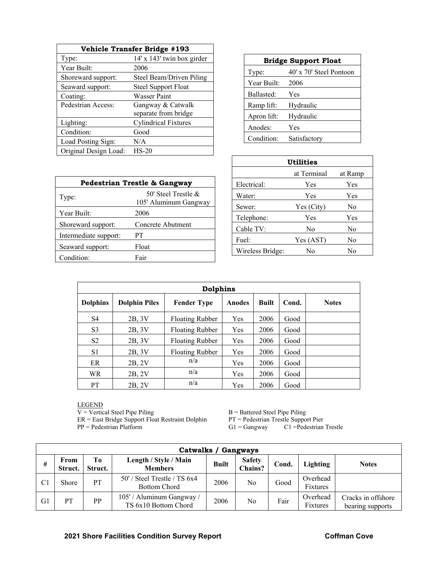| Vehicle Transfer Bridge #193 |                             |  |
|------------------------------|-----------------------------|--|
| Type:                        | 14' x 143' twin box girder  |  |
| Year Built:                  | 2006                        |  |
| Shoreward support:           | Steel Beam/Driven Piling    |  |
| Seaward support:             | <b>Steel Support Float</b>  |  |
| Coating:                     | Wasser Paint                |  |
| Pedestrian Access:           | Gangway & Catwalk           |  |
|                              | separate from bridge        |  |
| Lighting:                    | <b>Cylindrical Fixtures</b> |  |
| Condition:                   | Good                        |  |
| Load Posting Sign:           | N/A                         |  |
| Original Design Load:        | $HS-20$                     |  |

| <b>Bridge Support Float</b> |                         |  |
|-----------------------------|-------------------------|--|
| Type:                       | 40' x 70' Steel Pontoon |  |
| Year Built:                 | 2006                    |  |
| Ballasted:                  | Yes                     |  |
| Ramp lift:                  | Hydraulic               |  |
| Apron lift:                 | Hydraulic               |  |
| Anodes:                     | Yes                     |  |
| Condition:                  | Satisfactory            |  |

| Pedestrian Trestle & Gangway |                                                 |  |
|------------------------------|-------------------------------------------------|--|
| Type:                        | 50' Steel Trestle $\&$<br>105' Aluminum Gangway |  |
| Year Built:                  | 2006                                            |  |
| Shoreward support:           | Concrete Abutment                               |  |
| Intermediate support:        | PТ                                              |  |
| Seaward support:             | Float                                           |  |
| Condition:                   | Fair                                            |  |

| Utilities        |             |         |
|------------------|-------------|---------|
|                  | at Terminal | at Ramp |
| Electrical:      | Yes         | Yes     |
| Water:           | Yes         | Yes     |
| Sewer:           | Yes (City)  | No      |
| Telephone:       | Yes         | Yes     |
| Cable TV:        | No          | No      |
| Fuel:            | Yes (AST)   | No      |
| Wireless Bridge: | No          | No      |

| <b>Dolphins</b> |                      |                        |        |              |       |              |
|-----------------|----------------------|------------------------|--------|--------------|-------|--------------|
| <b>Dolphins</b> | <b>Dolphin Piles</b> | <b>Fender Type</b>     | Anodes | <b>Built</b> | Cond. | <b>Notes</b> |
| S <sub>4</sub>  | 2B, 3V               | <b>Floating Rubber</b> | Yes    | 2006         | Good  |              |
| S <sub>3</sub>  | 2B, 3V               | Floating Rubber        | Yes    | 2006         | Good  |              |
| S <sub>2</sub>  | 2B, 3V               | <b>Floating Rubber</b> | Yes    | 2006         | Good  |              |
| S <sub>1</sub>  | 2B, 3V               | <b>Floating Rubber</b> | Yes    | 2006         | Good  |              |
| ER              | 2B, 2V               | n/a                    | Yes    | 2006         | Good  |              |
| <b>WR</b>       | 2B, 2V               | n/a                    | Yes    | 2006         | Good  |              |
| <b>PT</b>       | 2B, 2V               | n/a                    | Yes    | 2006         | Good  |              |

LEGEND

 $V = V$ ertical Steel Pipe Piling  $B = B$ attered Steel Pipe Piling

ER = East Bridge Support Float Restraint Dolphin PT = Pedestrian Trestle Support Pier

PP = Pedestrian Platform G1 = Gangway C1 = Pedestrian Trestle

| Catwalks / Gangways |                 |               |                                                         |              |                          |       |                      |                                        |
|---------------------|-----------------|---------------|---------------------------------------------------------|--------------|--------------------------|-------|----------------------|----------------------------------------|
| #                   | From<br>Struct. | Tо<br>Struct. | Length / Style / Main<br><b>Members</b>                 | <b>Built</b> | <b>Safety</b><br>Chains? | Cond. | <b>Lighting</b>      | <b>Notes</b>                           |
| C <sub>1</sub>      | Shore           | PT            | $50'$ / Steel Trestle / TS $6x4$<br><b>Bottom Chord</b> | 2006         | No                       | Good  | Overhead<br>Fixtures |                                        |
| G1                  | PТ              | PP            | 105' / Aluminum Gangway /<br>TS 6x10 Bottom Chord       | 2006         | No                       | Fair  | Overhead<br>Fixtures | Cracks in offshore<br>bearing supports |